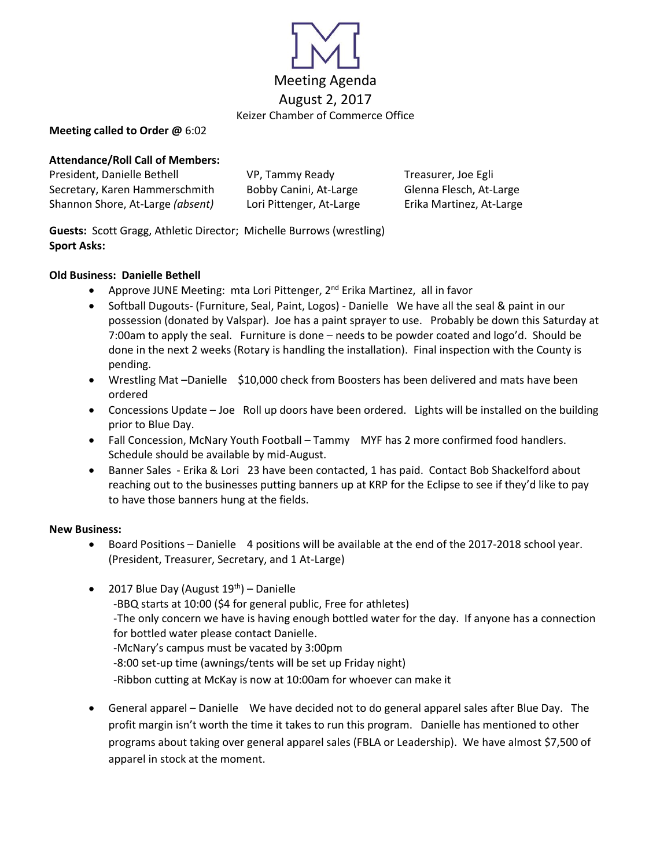

### **Meeting called to Order @** 6:02

# **Attendance/Roll Call of Members:**

President, Danielle Bethell **VP, Tammy Ready Freasurer**, Joe Egli Secretary, Karen Hammerschmith Bobby Canini, At-Large Glenna Flesch, At-Large Shannon Shore, At-Large *(absent)* Lori Pittenger, At-Large Erika Martinez, At-Large

**Guests:** Scott Gragg, Athletic Director; Michelle Burrows (wrestling) **Sport Asks:** 

## **Old Business: Danielle Bethell**

- Approve JUNE Meeting: mta Lori Pittenger,  $2^{nd}$  Erika Martinez, all in favor
- Softball Dugouts- (Furniture, Seal, Paint, Logos) Danielle We have all the seal & paint in our possession (donated by Valspar). Joe has a paint sprayer to use. Probably be down this Saturday at 7:00am to apply the seal. Furniture is done – needs to be powder coated and logo'd. Should be done in the next 2 weeks (Rotary is handling the installation). Final inspection with the County is pending.
- Wrestling Mat –Danielle \$10,000 check from Boosters has been delivered and mats have been ordered
- Concessions Update Joe Roll up doors have been ordered. Lights will be installed on the building prior to Blue Day.
- Fall Concession, McNary Youth Football Tammy MYF has 2 more confirmed food handlers. Schedule should be available by mid-August.
- Banner Sales Erika & Lori 23 have been contacted, 1 has paid. Contact Bob Shackelford about reaching out to the businesses putting banners up at KRP for the Eclipse to see if they'd like to pay to have those banners hung at the fields.

## **New Business:**

- Board Positions Danielle 4 positions will be available at the end of the 2017-2018 school year. (President, Treasurer, Secretary, and 1 At-Large)
- 2017 Blue Day (August  $19<sup>th</sup>$ ) Danielle -BBQ starts at 10:00 (\$4 for general public, Free for athletes) -The only concern we have is having enough bottled water for the day. If anyone has a connection for bottled water please contact Danielle. -McNary's campus must be vacated by 3:00pm -8:00 set-up time (awnings/tents will be set up Friday night) -Ribbon cutting at McKay is now at 10:00am for whoever can make it
- General apparel Danielle We have decided not to do general apparel sales after Blue Day. The profit margin isn't worth the time it takes to run this program. Danielle has mentioned to other programs about taking over general apparel sales (FBLA or Leadership). We have almost \$7,500 of apparel in stock at the moment.